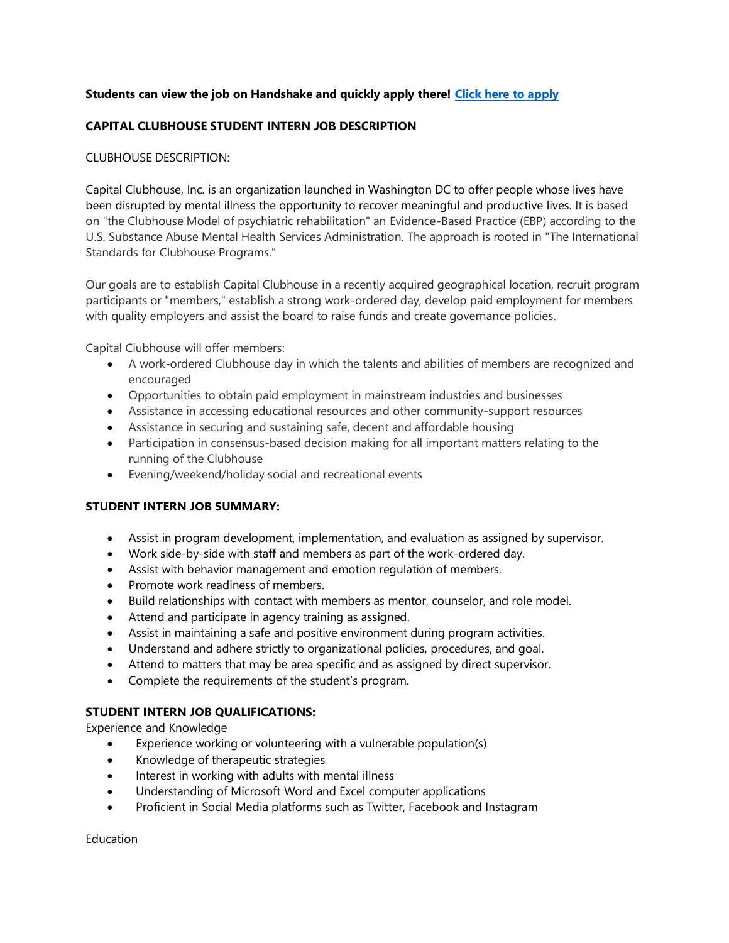## **Students can view the job on Handshake and quickly apply there! [Click here to apply](https://app.joinhandshake.com/jobs/3361468/edit?initial_page=4)**

# **CAPITAL CLUBHOUSE STUDENT INTERN JOB DESCRIPTION**

### CLUBHOUSE DESCRIPTION:

Capital Clubhouse, Inc. is an organization launched in Washington DC to offer people whose lives have been disrupted by mental illness the opportunity to recover meaningful and productive lives. It is based on "the Clubhouse Model of psychiatric rehabilitation" an Evidence-Based Practice (EBP) according to the U.S. Substance Abuse Mental Health Services Administration. The approach is rooted in "The International Standards for Clubhouse Programs."

Our goals are to establish Capital Clubhouse in a recently acquired geographical location, recruit program participants or "members," establish a strong work-ordered day, develop paid employment for members with quality employers and assist the board to raise funds and create governance policies.

Capital Clubhouse will offer members:

- A work-ordered Clubhouse day in which the talents and abilities of members are recognized and encouraged
- Opportunities to obtain paid employment in mainstream industries and businesses
- Assistance in accessing educational resources and other community-support resources
- Assistance in securing and sustaining safe, decent and affordable housing
- Participation in consensus-based decision making for all important matters relating to the running of the Clubhouse
- Evening/weekend/holiday social and recreational events

### **STUDENT INTERN JOB SUMMARY:**

- Assist in program development, implementation, and evaluation as assigned by supervisor.
- Work side-by-side with staff and members as part of the work-ordered day.
- Assist with behavior management and emotion regulation of members.
- Promote work readiness of members.
- Build relationships with contact with members as mentor, counselor, and role model.
- Attend and participate in agency training as assigned.
- Assist in maintaining a safe and positive environment during program activities.
- Understand and adhere strictly to organizational policies, procedures, and goal.
- Attend to matters that may be area specific and as assigned by direct supervisor.
- Complete the requirements of the student's program.

### **STUDENT INTERN JOB QUALIFICATIONS:**

Experience and Knowledge

- Experience working or volunteering with a vulnerable population(s)
- Knowledge of therapeutic strategies
- Interest in working with adults with mental illness
- Understanding of Microsoft Word and Excel computer applications
- Proficient in Social Media platforms such as Twitter, Facebook and Instagram

**Education**